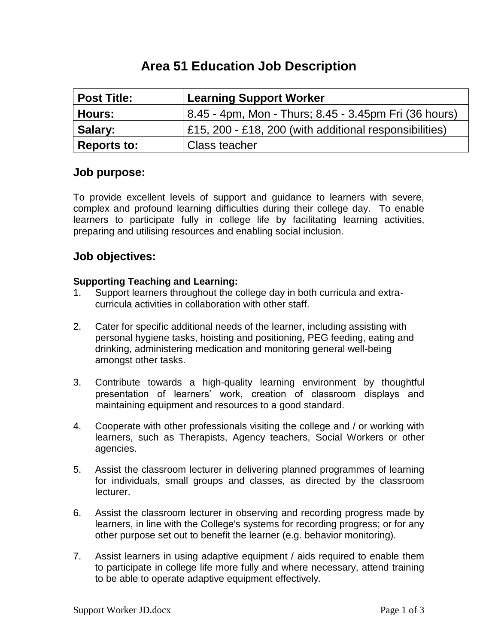# **Area 51 Education Job Description**

| <b>Post Title:</b> | <b>Learning Support Worker</b>                         |  |  |
|--------------------|--------------------------------------------------------|--|--|
| <b>Hours:</b>      | 8.45 - 4pm, Mon - Thurs; 8.45 - 3.45pm Fri (36 hours)  |  |  |
| Salary:            | £15, 200 - £18, 200 (with additional responsibilities) |  |  |
| <b>Reports to:</b> | Class teacher                                          |  |  |

### **Job purpose:**

To provide excellent levels of support and guidance to learners with severe, complex and profound learning difficulties during their college day. To enable learners to participate fully in college life by facilitating learning activities, preparing and utilising resources and enabling social inclusion.

## **Job objectives:**

#### **Supporting Teaching and Learning:**

- 1. Support learners throughout the college day in both curricula and extracurricula activities in collaboration with other staff.
- 2. Cater for specific additional needs of the learner, including assisting with personal hygiene tasks, hoisting and positioning, PEG feeding, eating and drinking, administering medication and monitoring general well-being amongst other tasks.
- 3. Contribute towards a high-quality learning environment by thoughtful presentation of learners' work, creation of classroom displays and maintaining equipment and resources to a good standard.
- 4. Cooperate with other professionals visiting the college and / or working with learners, such as Therapists, Agency teachers, Social Workers or other agencies.
- 5. Assist the classroom lecturer in delivering planned programmes of learning for individuals, small groups and classes, as directed by the classroom lecturer.
- 6. Assist the classroom lecturer in observing and recording progress made by learners, in line with the College's systems for recording progress; or for any other purpose set out to benefit the learner (e.g. behavior monitoring).
- 7. Assist learners in using adaptive equipment / aids required to enable them to participate in college life more fully and where necessary, attend training to be able to operate adaptive equipment effectively.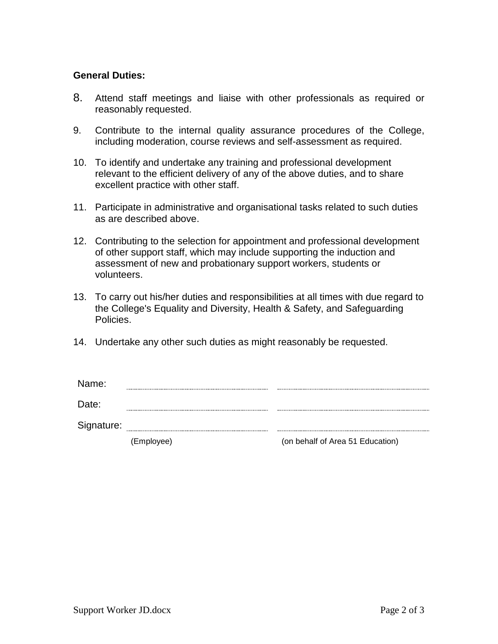#### **General Duties:**

- 8. Attend staff meetings and liaise with other professionals as required or reasonably requested.
- 9. Contribute to the internal quality assurance procedures of the College, including moderation, course reviews and self-assessment as required.
- 10. To identify and undertake any training and professional development relevant to the efficient delivery of any of the above duties, and to share excellent practice with other staff.
- 11. Participate in administrative and organisational tasks related to such duties as are described above.
- 12. Contributing to the selection for appointment and professional development of other support staff, which may include supporting the induction and assessment of new and probationary support workers, students or volunteers.
- 13. To carry out his/her duties and responsibilities at all times with due regard to the College's Equality and Diversity, Health & Safety, and Safeguarding Policies.
- 14. Undertake any other such duties as might reasonably be requested.

| Signature: | (Employee) | (on behalf of Area 51 Education) |
|------------|------------|----------------------------------|
| Date:      |            |                                  |
| Name:      |            |                                  |